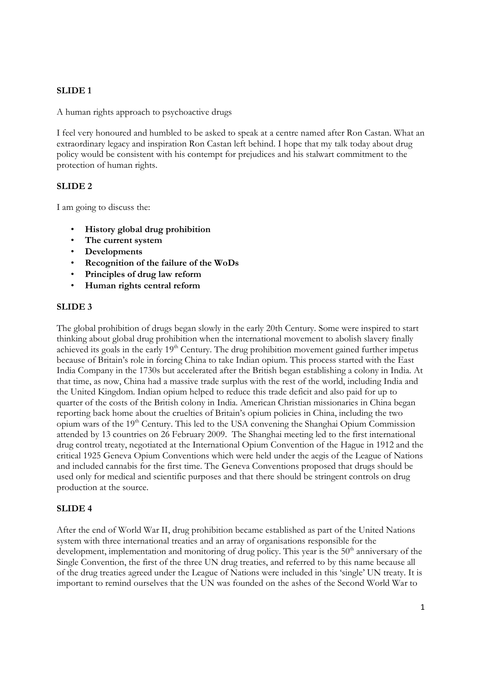## **SLIDE 1**

A human rights approach to psychoactive drugs

I feel very honoured and humbled to be asked to speak at a centre named after Ron Castan. What an extraordinary legacy and inspiration Ron Castan left behind. I hope that my talk today about drug policy would be consistent with his contempt for prejudices and his stalwart commitment to the protection of human rights.

## **SLIDE 2**

I am going to discuss the:

- **History global drug prohibition**
- **The current system**
- **Developments**
- **Recognition of the failure of the WoDs**
- **Principles of drug law reform**
- **Human rights central reform**

#### **SLIDE 3**

The global prohibition of drugs began slowly in the early 20th Century. Some were inspired to start thinking about global drug prohibition when the international movement to abolish slavery finally achieved its goals in the early 19<sup>th</sup> Century. The drug prohibition movement gained further impetus because of Britain's role in forcing China to take Indian opium. This process started with the East India Company in the 1730s but accelerated after the British began establishing a colony in India. At that time, as now, China had a massive trade surplus with the rest of the world, including India and the United Kingdom. Indian opium helped to reduce this trade deficit and also paid for up to quarter of the costs of the British colony in India. American Christian missionaries in China began reporting back home about the cruelties of Britain's opium policies in China, including the two opium wars of the 19th Century. This led to the USA convening the Shanghai Opium Commission attended by 13 countries on 26 February 2009. The Shanghai meeting led to the first international drug control treaty, negotiated at the International Opium Convention of the Hague in 1912 and the critical 1925 Geneva Opium Conventions which were held under the aegis of the League of Nations and included cannabis for the first time. The Geneva Conventions proposed that drugs should be used only for medical and scientific purposes and that there should be stringent controls on drug production at the source.

## **SLIDE 4**

After the end of World War II, drug prohibition became established as part of the United Nations system with three international treaties and an array of organisations responsible for the development, implementation and monitoring of drug policy. This year is the  $50<sup>th</sup>$  anniversary of the Single Convention, the first of the three UN drug treaties, and referred to by this name because all of the drug treaties agreed under the League of Nations were included in this 'single' UN treaty. It is important to remind ourselves that the UN was founded on the ashes of the Second World War to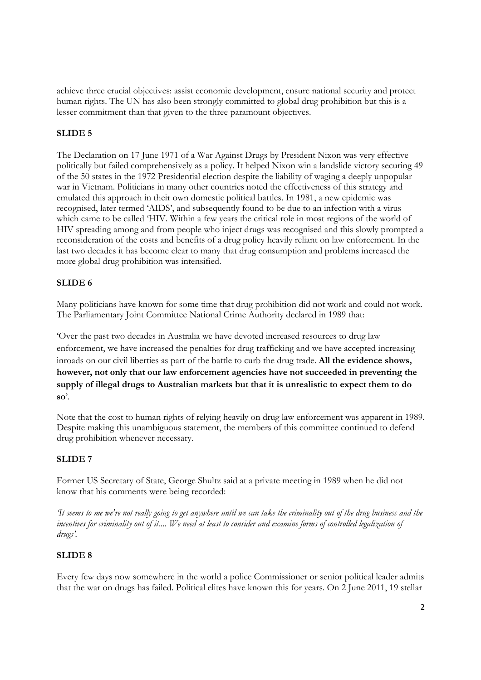achieve three crucial objectives: assist economic development, ensure national security and protect human rights. The UN has also been strongly committed to global drug prohibition but this is a lesser commitment than that given to the three paramount objectives.

# **SLIDE 5**

The Declaration on 17 June 1971 of a War Against Drugs by President Nixon was very effective politically but failed comprehensively as a policy. It helped Nixon win a landslide victory securing 49 of the 50 states in the 1972 Presidential election despite the liability of waging a deeply unpopular war in Vietnam. Politicians in many other countries noted the effectiveness of this strategy and emulated this approach in their own domestic political battles. In 1981, a new epidemic was recognised, later termed 'AIDS', and subsequently found to be due to an infection with a virus which came to be called 'HIV. Within a few years the critical role in most regions of the world of HIV spreading among and from people who inject drugs was recognised and this slowly prompted a reconsideration of the costs and benefits of a drug policy heavily reliant on law enforcement. In the last two decades it has become clear to many that drug consumption and problems increased the more global drug prohibition was intensified.

# **SLIDE 6**

Many politicians have known for some time that drug prohibition did not work and could not work. The Parliamentary Joint Committee National Crime Authority declared in 1989 that:

'Over the past two decades in Australia we have devoted increased resources to drug law enforcement, we have increased the penalties for drug trafficking and we have accepted increasing inroads on our civil liberties as part of the battle to curb the drug trade. **All the evidence shows, however, not only that our law enforcement agencies have not succeeded in preventing the supply of illegal drugs to Australian markets but that it is unrealistic to expect them to do so**'.

Note that the cost to human rights of relying heavily on drug law enforcement was apparent in 1989. Despite making this unambiguous statement, the members of this committee continued to defend drug prohibition whenever necessary.

## **SLIDE 7**

Former US Secretary of State, George Shultz said at a private meeting in 1989 when he did not know that his comments were being recorded:

*'It seems to me we're not really going to get anywhere until we can take the criminality out of the drug business and the*  incentives for criminality out of it.... We need at least to consider and examine forms of controlled legalization of *drugs'.* 

## **SLIDE 8**

Every few days now somewhere in the world a police Commissioner or senior political leader admits that the war on drugs has failed. Political elites have known this for years. On 2 June 2011, 19 stellar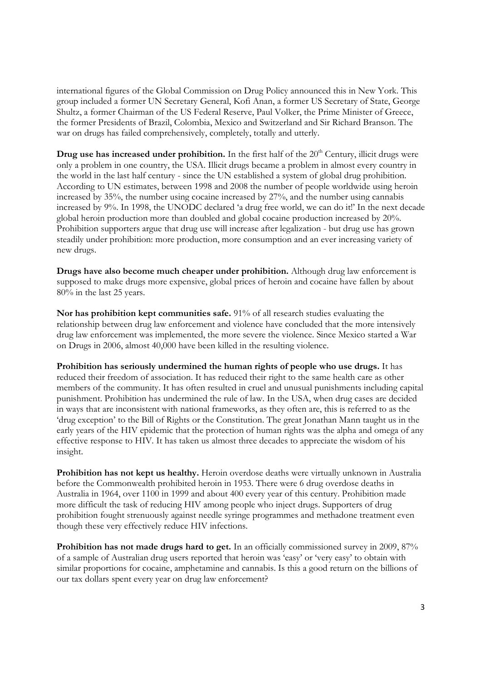international figures of the Global Commission on Drug Policy announced this in New York. This group included a former UN Secretary General, Kofi Anan, a former US Secretary of State, George Shultz, a former Chairman of the US Federal Reserve, Paul Volker, the Prime Minister of Greece, the former Presidents of Brazil, Colombia, Mexico and Switzerland and Sir Richard Branson. The war on drugs has failed comprehensively, completely, totally and utterly.

**Drug use has increased under prohibition.** In the first half of the 20<sup>th</sup> Century, illicit drugs were only a problem in one country, the USA. Illicit drugs became a problem in almost every country in the world in the last half century - since the UN established a system of global drug prohibition. According to UN estimates, between 1998 and 2008 the number of people worldwide using heroin increased by 35%, the number using cocaine increased by 27%, and the number using cannabis increased by 9%. In 1998, the UNODC declared 'a drug free world, we can do it!' In the next decade global heroin production more than doubled and global cocaine production increased by 20%. Prohibition supporters argue that drug use will increase after legalization - but drug use has grown steadily under prohibition: more production, more consumption and an ever increasing variety of new drugs.

**Drugs have also become much cheaper under prohibition.** Although drug law enforcement is supposed to make drugs more expensive, global prices of heroin and cocaine have fallen by about 80% in the last 25 years.

**Nor has prohibition kept communities safe.** 91% of all research studies evaluating the relationship between drug law enforcement and violence have concluded that the more intensively drug law enforcement was implemented, the more severe the violence. Since Mexico started a War on Drugs in 2006, almost 40,000 have been killed in the resulting violence.

**Prohibition has seriously undermined the human rights of people who use drugs.** It has reduced their freedom of association. It has reduced their right to the same health care as other members of the community. It has often resulted in cruel and unusual punishments including capital punishment. Prohibition has undermined the rule of law. In the USA, when drug cases are decided in ways that are inconsistent with national frameworks, as they often are, this is referred to as the 'drug exception' to the Bill of Rights or the Constitution. The great Jonathan Mann taught us in the early years of the HIV epidemic that the protection of human rights was the alpha and omega of any effective response to HIV. It has taken us almost three decades to appreciate the wisdom of his insight.

**Prohibition has not kept us healthy.** Heroin overdose deaths were virtually unknown in Australia before the Commonwealth prohibited heroin in 1953. There were 6 drug overdose deaths in Australia in 1964, over 1100 in 1999 and about 400 every year of this century. Prohibition made more difficult the task of reducing HIV among people who inject drugs. Supporters of drug prohibition fought strenuously against needle syringe programmes and methadone treatment even though these very effectively reduce HIV infections.

**Prohibition has not made drugs hard to get.** In an officially commissioned survey in 2009, 87% of a sample of Australian drug users reported that heroin was 'easy' or 'very easy' to obtain with similar proportions for cocaine, amphetamine and cannabis. Is this a good return on the billions of our tax dollars spent every year on drug law enforcement?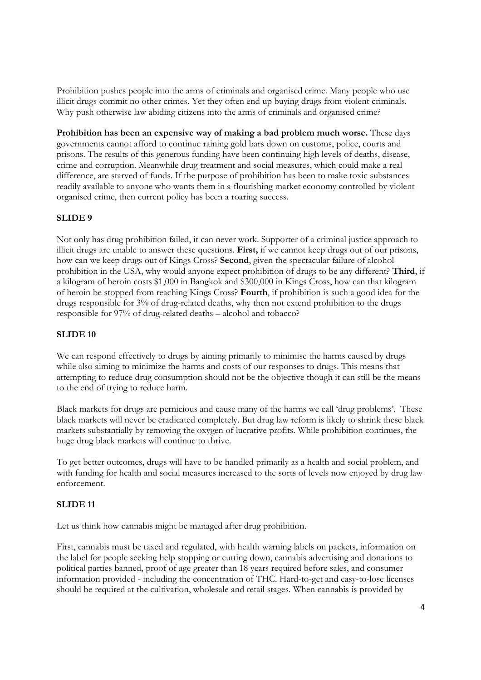Prohibition pushes people into the arms of criminals and organised crime. Many people who use illicit drugs commit no other crimes. Yet they often end up buying drugs from violent criminals. Why push otherwise law abiding citizens into the arms of criminals and organised crime?

**Prohibition has been an expensive way of making a bad problem much worse.** These days governments cannot afford to continue raining gold bars down on customs, police, courts and prisons. The results of this generous funding have been continuing high levels of deaths, disease, crime and corruption. Meanwhile drug treatment and social measures, which could make a real difference, are starved of funds*.* If the purpose of prohibition has been to make toxic substances readily available to anyone who wants them in a flourishing market economy controlled by violent organised crime, then current policy has been a roaring success.

## **SLIDE 9**

Not only has drug prohibition failed, it can never work. Supporter of a criminal justice approach to illicit drugs are unable to answer these questions. **First,** if we cannot keep drugs out of our prisons, how can we keep drugs out of Kings Cross? **Second**, given the spectacular failure of alcohol prohibition in the USA, why would anyone expect prohibition of drugs to be any different? **Third**, if a kilogram of heroin costs \$1,000 in Bangkok and \$300,000 in Kings Cross, how can that kilogram of heroin be stopped from reaching Kings Cross? **Fourth**, if prohibition is such a good idea for the drugs responsible for 3% of drug-related deaths, why then not extend prohibition to the drugs responsible for 97% of drug-related deaths – alcohol and tobacco?

## **SLIDE 10**

We can respond effectively to drugs by aiming primarily to minimise the harms caused by drugs while also aiming to minimize the harms and costs of our responses to drugs. This means that attempting to reduce drug consumption should not be the objective though it can still be the means to the end of trying to reduce harm.

Black markets for drugs are pernicious and cause many of the harms we call 'drug problems'. These black markets will never be eradicated completely. But drug law reform is likely to shrink these black markets substantially by removing the oxygen of lucrative profits. While prohibition continues, the huge drug black markets will continue to thrive.

To get better outcomes, drugs will have to be handled primarily as a health and social problem, and with funding for health and social measures increased to the sorts of levels now enjoyed by drug law enforcement.

## **SLIDE 11**

Let us think how cannabis might be managed after drug prohibition.

First, cannabis must be taxed and regulated, with health warning labels on packets, information on the label for people seeking help stopping or cutting down, cannabis advertising and donations to political parties banned, proof of age greater than 18 years required before sales, and consumer information provided - including the concentration of THC. Hard-to-get and easy-to-lose licenses should be required at the cultivation, wholesale and retail stages. When cannabis is provided by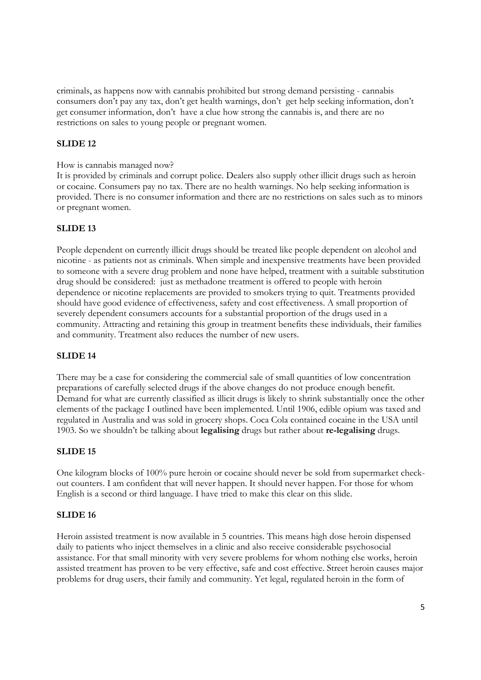criminals, as happens now with cannabis prohibited but strong demand persisting - cannabis consumers don't pay any tax, don't get health warnings, don't get help seeking information, don't get consumer information, don't have a clue how strong the cannabis is, and there are no restrictions on sales to young people or pregnant women.

## **SLIDE 12**

#### How is cannabis managed now?

It is provided by criminals and corrupt police. Dealers also supply other illicit drugs such as heroin or cocaine. Consumers pay no tax. There are no health warnings. No help seeking information is provided. There is no consumer information and there are no restrictions on sales such as to minors or pregnant women.

## **SLIDE 13**

People dependent on currently illicit drugs should be treated like people dependent on alcohol and nicotine - as patients not as criminals. When simple and inexpensive treatments have been provided to someone with a severe drug problem and none have helped, treatment with a suitable substitution drug should be considered: just as methadone treatment is offered to people with heroin dependence or nicotine replacements are provided to smokers trying to quit. Treatments provided should have good evidence of effectiveness, safety and cost effectiveness. A small proportion of severely dependent consumers accounts for a substantial proportion of the drugs used in a community. Attracting and retaining this group in treatment benefits these individuals, their families and community. Treatment also reduces the number of new users.

#### **SLIDE 14**

There may be a case for considering the commercial sale of small quantities of low concentration preparations of carefully selected drugs if the above changes do not produce enough benefit. Demand for what are currently classified as illicit drugs is likely to shrink substantially once the other elements of the package I outlined have been implemented. Until 1906, edible opium was taxed and regulated in Australia and was sold in grocery shops. Coca Cola contained cocaine in the USA until 1903. So we shouldn't be talking about **legalising** drugs but rather about **re-legalising** drugs.

#### **SLIDE 15**

One kilogram blocks of 100% pure heroin or cocaine should never be sold from supermarket checkout counters. I am confident that will never happen. It should never happen. For those for whom English is a second or third language. I have tried to make this clear on this slide.

#### **SLIDE 16**

Heroin assisted treatment is now available in 5 countries. This means high dose heroin dispensed daily to patients who inject themselves in a clinic and also receive considerable psychosocial assistance. For that small minority with very severe problems for whom nothing else works, heroin assisted treatment has proven to be very effective, safe and cost effective. Street heroin causes major problems for drug users, their family and community. Yet legal, regulated heroin in the form of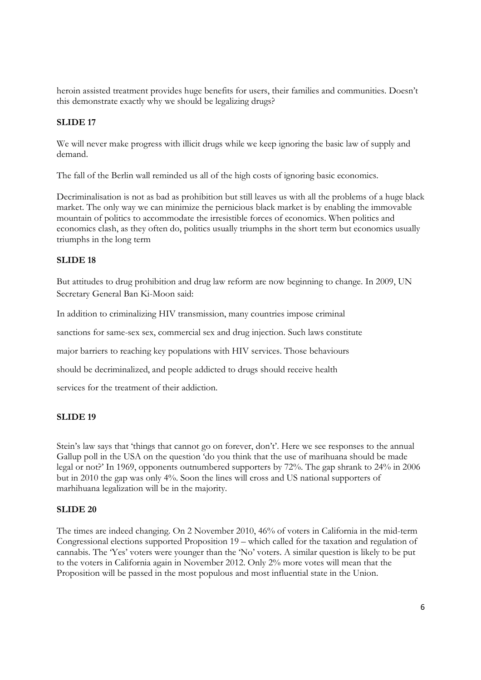heroin assisted treatment provides huge benefits for users, their families and communities. Doesn't this demonstrate exactly why we should be legalizing drugs?

## **SLIDE 17**

We will never make progress with illicit drugs while we keep ignoring the basic law of supply and demand.

The fall of the Berlin wall reminded us all of the high costs of ignoring basic economics.

Decriminalisation is not as bad as prohibition but still leaves us with all the problems of a huge black market. The only way we can minimize the pernicious black market is by enabling the immovable mountain of politics to accommodate the irresistible forces of economics. When politics and economics clash, as they often do, politics usually triumphs in the short term but economics usually triumphs in the long term

## **SLIDE 18**

But attitudes to drug prohibition and drug law reform are now beginning to change. In 2009, UN Secretary General Ban Ki-Moon said:

In addition to criminalizing HIV transmission, many countries impose criminal

sanctions for same-sex sex, commercial sex and drug injection. Such laws constitute

major barriers to reaching key populations with HIV services. Those behaviours

should be decriminalized, and people addicted to drugs should receive health

services for the treatment of their addiction.

## **SLIDE 19**

Stein's law says that 'things that cannot go on forever, don't'. Here we see responses to the annual Gallup poll in the USA on the question 'do you think that the use of marihuana should be made legal or not?' In 1969, opponents outnumbered supporters by 72%. The gap shrank to 24% in 2006 but in 2010 the gap was only 4%. Soon the lines will cross and US national supporters of marhihuana legalization will be in the majority.

## **SLIDE 20**

The times are indeed changing. On 2 November 2010, 46% of voters in California in the mid-term Congressional elections supported Proposition 19 – which called for the taxation and regulation of cannabis. The 'Yes' voters were younger than the 'No' voters. A similar question is likely to be put to the voters in California again in November 2012. Only 2% more votes will mean that the Proposition will be passed in the most populous and most influential state in the Union.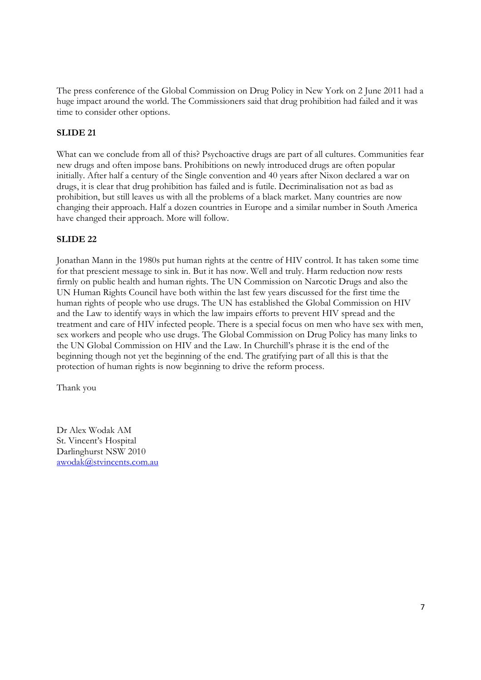The press conference of the Global Commission on Drug Policy in New York on 2 June 2011 had a huge impact around the world. The Commissioners said that drug prohibition had failed and it was time to consider other options.

## **SLIDE 21**

What can we conclude from all of this? Psychoactive drugs are part of all cultures. Communities fear new drugs and often impose bans. Prohibitions on newly introduced drugs are often popular initially. After half a century of the Single convention and 40 years after Nixon declared a war on drugs, it is clear that drug prohibition has failed and is futile. Decriminalisation not as bad as prohibition, but still leaves us with all the problems of a black market. Many countries are now changing their approach. Half a dozen countries in Europe and a similar number in South America have changed their approach. More will follow.

## **SLIDE 22**

Jonathan Mann in the 1980s put human rights at the centre of HIV control. It has taken some time for that prescient message to sink in. But it has now. Well and truly. Harm reduction now rests firmly on public health and human rights. The UN Commission on Narcotic Drugs and also the UN Human Rights Council have both within the last few years discussed for the first time the human rights of people who use drugs. The UN has established the Global Commission on HIV and the Law to identify ways in which the law impairs efforts to prevent HIV spread and the treatment and care of HIV infected people. There is a special focus on men who have sex with men, sex workers and people who use drugs. The Global Commission on Drug Policy has many links to the UN Global Commission on HIV and the Law. In Churchill's phrase it is the end of the beginning though not yet the beginning of the end. The gratifying part of all this is that the protection of human rights is now beginning to drive the reform process.

Thank you

Dr Alex Wodak AM St. Vincent's Hospital Darlinghurst NSW 2010 awodak@stvincents.com.au